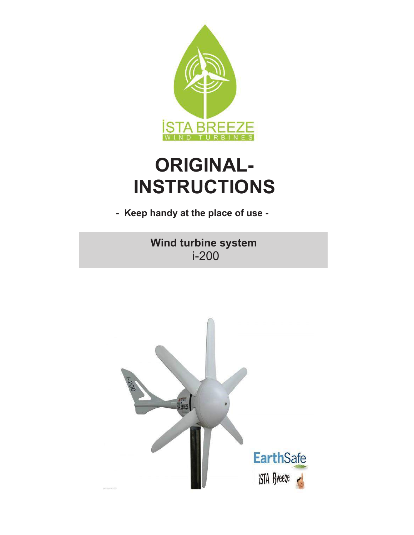

# **ORIGINAL-INSTRUCTIONS**

**- Keep handy at the place of use -**

 i-200 **Wind turbine system**

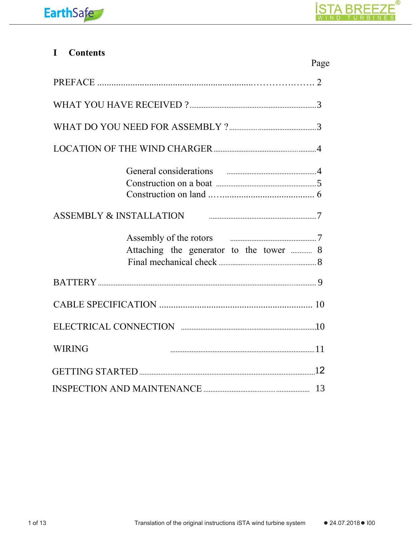#### **Contents**  $\mathbf I$

|                                                                                                                                                                                                                                | Page |
|--------------------------------------------------------------------------------------------------------------------------------------------------------------------------------------------------------------------------------|------|
|                                                                                                                                                                                                                                |      |
|                                                                                                                                                                                                                                |      |
|                                                                                                                                                                                                                                |      |
|                                                                                                                                                                                                                                |      |
|                                                                                                                                                                                                                                |      |
|                                                                                                                                                                                                                                |      |
|                                                                                                                                                                                                                                |      |
| ASSEMBLY & INSTALLATION FINDING THE RESERVED TO A SERVICE A SERVICE OF THE RESERVED ON THE RESERVED OF THE RESERVED OF THE RESERVED OF THE RESERVED OF THE RESERVED OF THE RESERVED OF THE RESERVED OF THE RESERVED OF THE RES |      |
| Assembly of the rotors <i>manual manual manual</i> 7                                                                                                                                                                           |      |
| Attaching the generator to the tower  8                                                                                                                                                                                        |      |
|                                                                                                                                                                                                                                |      |
|                                                                                                                                                                                                                                |      |
|                                                                                                                                                                                                                                |      |
|                                                                                                                                                                                                                                |      |
| <b>WIRING</b>                                                                                                                                                                                                                  |      |
|                                                                                                                                                                                                                                |      |
|                                                                                                                                                                                                                                |      |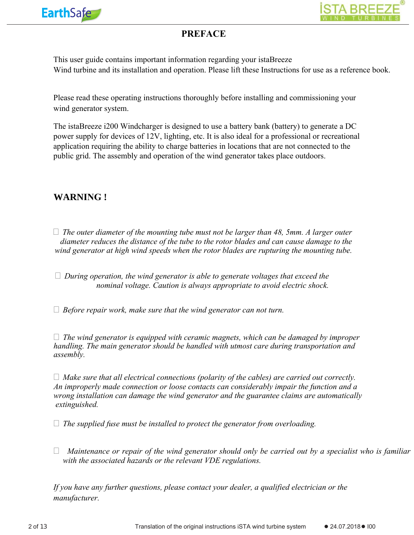



# **PREFACE**

This user guide contains important information regarding your istaBreeze Wind turbine and its installation and operation. Please lift these Instructions for use as a reference book.

Please read these operating instructions thoroughly before installing and commissioning your wind generator system.

The istaBreeze i200 Windcharger is designed to use a battery bank (battery) to generate a DC power supply for devices of 12V, lighting, etc. It is also ideal for a professional or recreational application requiring the ability to charge batteries in locations that are not connected to the public grid. The assembly and operation of the wind generator takes place outdoors.

# **WARNING !**

- *The outer diameter of the mounting tube must not be larger than 48, 5mm. A larger outer diameter reduces the distance of the tube to the rotor blades and can cause damage to the wind generator at high wind speeds when the rotor blades are rupturing the mounting tube.*
- *During operation, the wind generator is able to generate voltages that exceed the nominal voltage. Caution is always appropriate to avoid electric shock.*
- *Before repair work, make sure that the wind generator can not turn.*

 *The wind generator is equipped with ceramic magnets, which can be damaged by improper handling. The main generator should be handled with utmost care during transportation and assembly.*

 *Make sure that all electrical connections (polarity of the cables) are carried out correctly. An improperly made connection or loose contacts can considerably impair the function and a wrong installation can damage the wind generator and the guarantee claims are automatically extinguished.*

*The supplied fuse must be installed to protect the generator from overloading.*

 *Maintenance or repair of the wind generator should only be carried out by a specialist who is familiar with the associated hazards or the relevant VDE regulations.*

*If you have any further questions, please contact your dealer, a qualified electrician or the manufacturer.*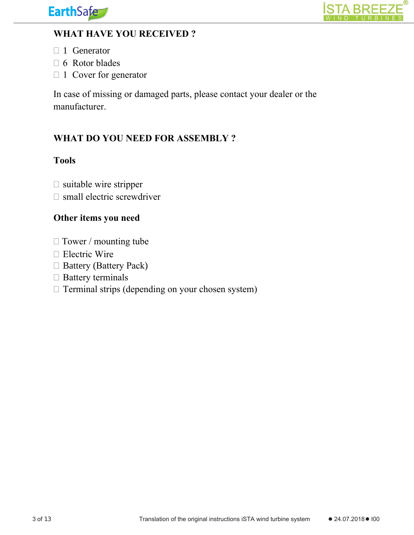



# **WHAT HAVE YOU RECEIVED ?**

- □ 1 Generator
- $\Box$  6 Rotor blades
- $\Box$  1 Cover for generator

In case of missing or damaged parts, please contact your dealer or the manufacturer.

# **WHAT DO YOU NEED FOR ASSEMBLY ?**

# **Tools**

- $\square$  suitable wire stripper
- $\square$  small electric screwdriver

# **Other items you need**

- □ Tower / mounting tube
- □ Electric Wire
- □ Battery (Battery Pack)
- $\Box$  Battery terminals
- $\Box$  Terminal strips (depending on your chosen system)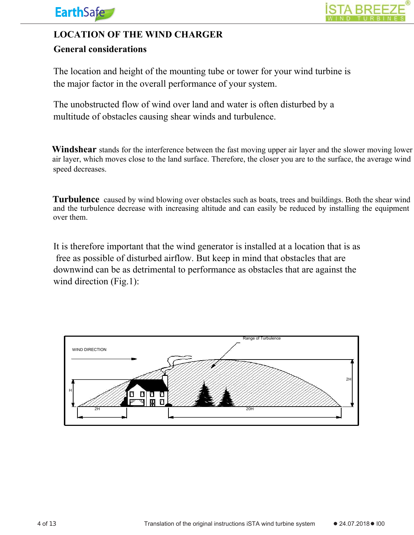

# **LOCATION OF THE WIND CHARGER**

# **General considerations**

The location and height of the mounting tube or tower for your wind turbine is the major factor in the overall performance of your system.

The unobstructed flow of wind over land and water is often disturbed by a multitude of obstacles causing shear winds and turbulence.

 air layer, which moves close to the land surface. Therefore, the closer you are to the surface, the average wind speed decreases. **Windshear** stands for the interference between the fast moving upper air layer and the slower moving lower

**Turbulence** caused by wind blowing over obstacles such as boats, trees and buildings. Both the shear wind and the turbulence decrease with increasing altitude and can easily be reduced by installing the equipment over them.

It is therefore important that the wind generator is installed at a location that is as free as possible of disturbed airflow. But keep in mind that obstacles that are downwind can be as detrimental to performance as obstacles that are against the wind direction (Fig.1):

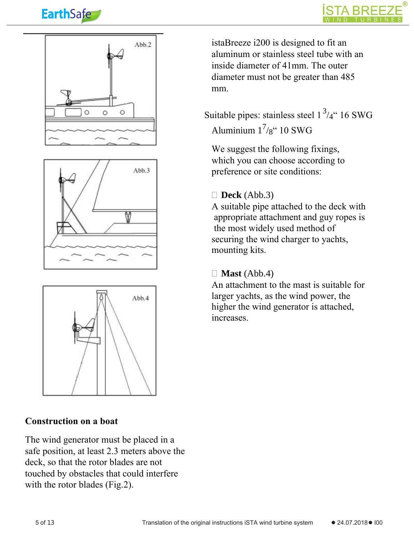









# **Construction on a boat**

The wind generator must be placed in a safe position, at least 2.3 meters above the deck, so that the rotor blades are not touched by obstacles that could interfere with the rotor blades (Fig.2).

istaBreeze i200 is designed to fit an aluminum or stainless steel tube with an inside diameter of 41mm. The outer diameter must not be greater than 485 mm.

Suitable pipes: stainless steel  $1^3/4$  " 16 SWG Aluminium  $1^{7}/8$ " 10 SWG

We suggest the following fixings, which you can choose according to preference or site conditions:

#### **Deck** (Abb.3)

A suitable pipe attached to the deck with appropriate attachment and guy ropes is the most widely used method of securing the wind charger to yachts, mounting kits.

#### $\Box$  **Mast** (Abb.4)

An attachment to the mast is suitable for larger yachts, as the wind power, the higher the wind generator is attached, increases.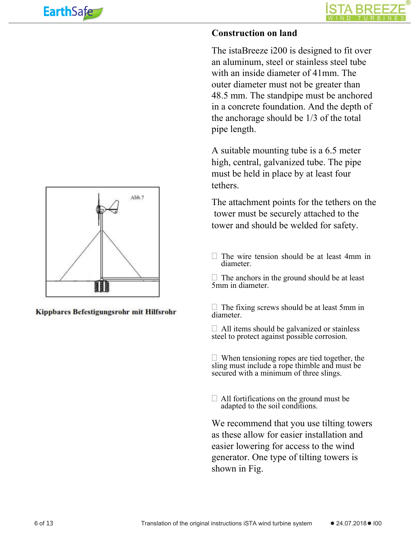# **Construction on land**

The istaBreeze i200 is designed to fit over an aluminum, steel or stainless steel tube with an inside diameter of 41mm. The outer diameter must not be greater than 48.5 mm. The standpipe must be anchored in a concrete foundation. And the depth of the anchorage should be 1/3 of the total pipe length.

A suitable mounting tube is a 6.5 meter high, central, galvanized tube. The pipe must be held in place by at least four tethers.

The attachment points for the tethers on the tower must be securely attached to the tower and should be welded for safety.

 $\Box$  The wire tension should be at least 4mm in diameter.

 $\Box$  The anchors in the ground should be at least 5mm in diameter.

 $\Box$  The fixing screws should be at least 5mm in diameter.

 $\Box$  All items should be galvanized or stainless steel to protect against possible corrosion.

 $\Box$  When tensioning ropes are tied together, the sling must include a rope thimble and must be secured with a minimum of three slings.

 $\Box$  All fortifications on the ground must be adapted to the soil conditions.

We recommend that you use tilting towers as these allow for easier installation and easier lowering for access to the wind generator. One type of tilting towers is shown in Fig.



Kippbares Befestigungsrohr mit Hilfsrohr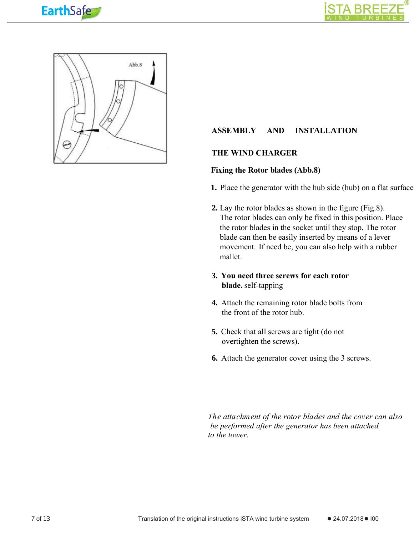





#### **ASSEMBLY AND INSTALLATION**

#### **THE WIND CHARGER**

#### **Fixing the Rotor blades (Abb.8)**

- **1.** Place the generator with the hub side (hub) on a flat surface.
- **2.** Lay the rotor blades as shown in the figure (Fig.8). The rotor blades can only be fixed in this position. Place the rotor blades in the socket until they stop. The rotor blade can then be easily inserted by means of a lever movement. If need be, you can also help with a rubber mallet.

#### **blade.** self-tapping **3. You need three screws for each rotor**

- **4.** Attach the remaining rotor blade bolts from the front of the rotor hub.
- **5.** Check that all screws are tight (do not overtighten the screws).
- **6.** Attach the generator cover using the 3 screws.

*The attachment of the rotor blades and the cover can also be performed after the generator has been attached to the tower.*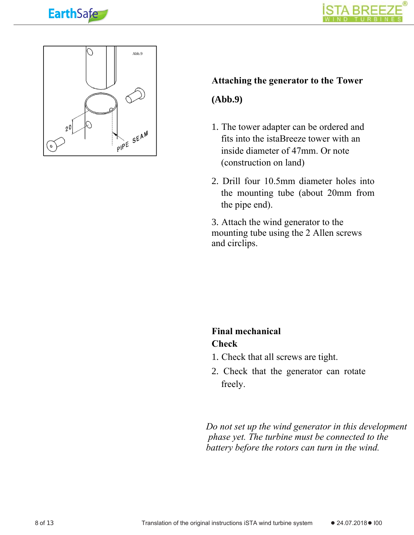





#### **Attaching the generator to the Tower**

#### **(Abb.9)**

- 1. The tower adapter can be ordered and fits into the istaBreeze tower with an inside diameter of 47mm. Or note (construction on land)
- 2. Drill four 10.5mm diameter holes into the mounting tube (about 20mm from the pipe end).

3. Attach the wind generator to the mounting tube using the 2 Allen screws and circlips.

# **Final mechanical**

# **Check**

- 1. Check that all screws are tight.
- 2. Check that the generator can rotate freely.

*Do not set up the wind generator in this development phase yet. The turbine must be connected to the battery before the rotors can turn in the wind.*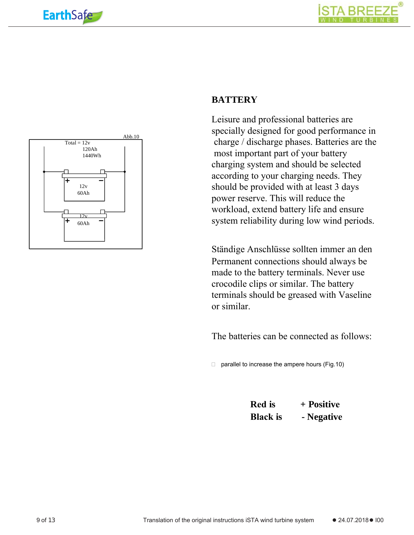**Earth**Safe

Total =  $12v$ 

120Ah 1440Wh



## **BATTERY**

Leisure and professional batteries are specially designed for good performance in charge / discharge phases. Batteries are the most important part of your battery charging system and should be selected according to your charging needs. They should be provided with at least 3 days power reserve. This will reduce the workload, extend battery life and ensure system reliability during low wind periods.

Ständige Anschlüsse sollten immer an den Permanent connections should always be made to the battery terminals. Never use crocodile clips or similar. The battery terminals should be greased with Vaseline or similar.

The batteries can be connected as follows:

 $\Box$  parallel to increase the ampere hours (Fig.10)

**Red is + Positive Black is - Negative**



Abb.10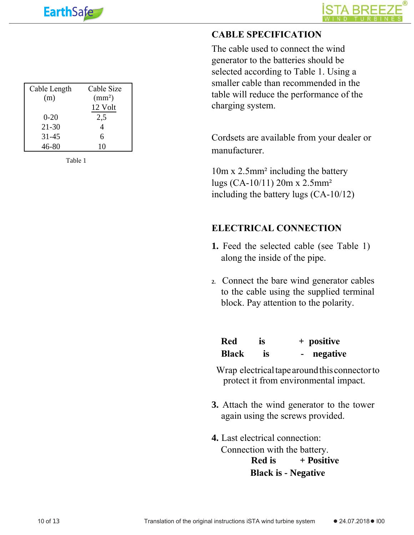



# **CABLE SPECIFICATION**

The cable used to connect the wind generator to the batteries should be selected according to Table 1. Using a smaller cable than recommended in the table will reduce the performance of the charging system.

Cordsets are available from your dealer or manufacturer.

10m x 2.5mm² including the battery lugs (CA-10/11) 20m x 2.5mm² including the battery lugs (CA-10/12)

### **ELECTRICAL CONNECTION**

- **1.** Feed the selected cable (see Table 1) along the inside of the pipe.
- **2.** Connect the bare wind generator cables to the cable using the supplied terminal block. Pay attention to the polarity.

| Red          | <b>is</b> | + positive |
|--------------|-----------|------------|
| <b>Black</b> | <b>is</b> | negative   |

Wrap electrical tape around this connector to protect it from environmental impact.

- **3.** Attach the wind generator to the tower again using the screws provided.
- **Red is + Positive Black is - Negative 4.** Last electrical connection: Connection with the battery.

| Cable Length | Cable Size      |
|--------------|-----------------|
| (m)          | $\text{(mm}^2)$ |
|              | 12 Volt         |
| $0 - 20$     | 2,5             |
| $21 - 30$    | 4               |
| $31 - 45$    | 6               |
| 46-80        | 10              |

Table 1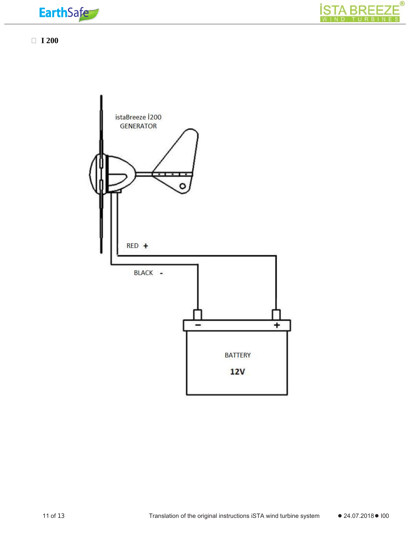



**I 200**

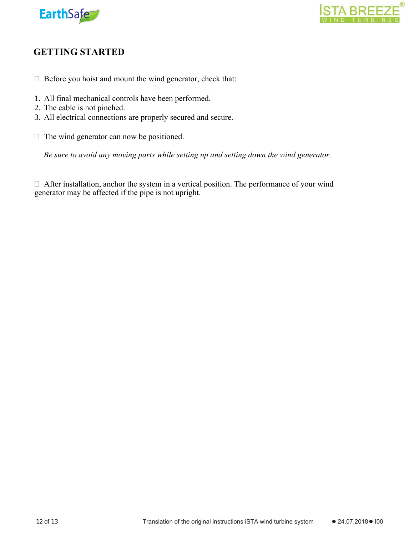



# **GETTING STARTED**

- $\Box$  Before you hoist and mount the wind generator, check that:
- 1. All final mechanical controls have been performed.
- 2. The cable is not pinched.
- 3. All electrical connections are properly secured and secure.
- $\Box$  The wind generator can now be positioned.

*Be sure to avoid any moving parts while setting up and setting down the wind generator.*

 After installation, anchor the system in a vertical position. The performance of your wind generator may be affected if the pipe is not upright.